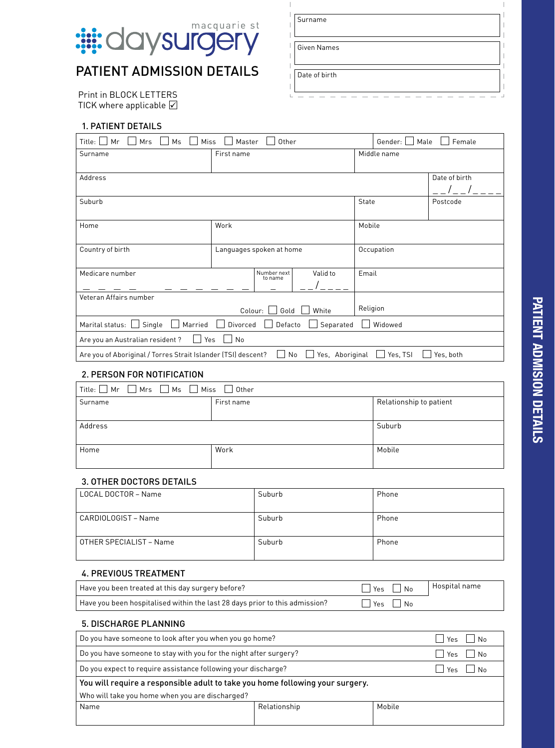

# PATIENT ADMISSION DETAILS

Print in BLOCK LETTERS TICK where applicable  $\boxed{\checkmark}$ 

### 1. PATIENT DETAILS

| Title:<br>Miss<br>Other<br>Mr<br>Mrs<br>Ms<br>Master                                  |                          |                        |                       |       | Female<br>Gender:<br>Male |               |  |
|---------------------------------------------------------------------------------------|--------------------------|------------------------|-----------------------|-------|---------------------------|---------------|--|
| Surname                                                                               | First name               |                        |                       |       | Middle name               |               |  |
|                                                                                       |                          |                        |                       |       |                           |               |  |
| Address                                                                               |                          |                        |                       |       |                           | Date of birth |  |
|                                                                                       |                          |                        |                       |       |                           |               |  |
| Suburb                                                                                |                          |                        |                       | State |                           | Postcode      |  |
|                                                                                       |                          |                        |                       |       |                           |               |  |
| Home                                                                                  | Work                     |                        |                       |       | Mobile                    |               |  |
|                                                                                       |                          |                        |                       |       |                           |               |  |
| Country of birth                                                                      | Languages spoken at home |                        |                       |       | Occupation                |               |  |
|                                                                                       |                          |                        |                       |       |                           |               |  |
| Medicare number                                                                       |                          | Number next<br>to name | Valid to              | Email |                           |               |  |
|                                                                                       |                          |                        |                       |       |                           |               |  |
| Veteran Affairs number                                                                |                          |                        |                       |       |                           |               |  |
| Colour:<br>Gold<br>White                                                              |                          |                        | Religion              |       |                           |               |  |
| Single<br>Separated<br>Marital status: L<br>Married<br>Divorced<br>Defacto<br>Widowed |                          |                        |                       |       |                           |               |  |
| Are you an Australian resident?<br>Yes<br>I.                                          | No                       |                        |                       |       |                           |               |  |
| Are you of Aboriginal / Torres Strait Islander (TSI) descent?                         |                          |                        | Yes, Aboriginal<br>No |       | Yes, TSI                  | Yes, both     |  |

## 2. PERSON FOR NOTIFICATION

| Title: $\Box$ Mr $\Box$ Mrs $\Box$ Ms $\Box$ Miss $\Box$ Other |            |                         |  |  |  |
|----------------------------------------------------------------|------------|-------------------------|--|--|--|
| Surname                                                        | First name | Relationship to patient |  |  |  |
|                                                                |            |                         |  |  |  |
| Address                                                        |            | Suburb                  |  |  |  |
|                                                                |            |                         |  |  |  |
| Home                                                           | Work       | Mobile                  |  |  |  |
|                                                                |            |                         |  |  |  |

#### 3. OTHER DOCTORS DETAILS

| LOCAL DOCTOR - Name     | Suburb | Phone |
|-------------------------|--------|-------|
| CARDIOLOGIST - Name     | Suburb | Phone |
| OTHER SPECIALIST - Name | Suburb | Phone |

#### 4. PREVIOUS TREATMENT

| Have you been treated at this day surgery before?                           | $\Box$ Yes $\Box$ No   Hospital name |  |
|-----------------------------------------------------------------------------|--------------------------------------|--|
| Have you been hospitalised within the last 28 days prior to this admission? | $\Box$ Yes $\Box$ No                 |  |

#### 5. DISCHARGE PLANNING

| Do you have someone to look after you when you go home?                       |              | l Yes  | N <sub>0</sub> |            |  |  |
|-------------------------------------------------------------------------------|--------------|--------|----------------|------------|--|--|
| Do you have someone to stay with you for the night after surgery?             |              |        |                | Yes     No |  |  |
| Do you expect to require assistance following your discharge?                 |              |        |                | Yes     No |  |  |
| You will require a responsible adult to take you home following your surgery. |              |        |                |            |  |  |
| Who will take you home when you are discharged?                               |              |        |                |            |  |  |
| Name                                                                          | Relationship | Mobile |                |            |  |  |

| Surname       |  |
|---------------|--|
| Given Names   |  |
| Date of birth |  |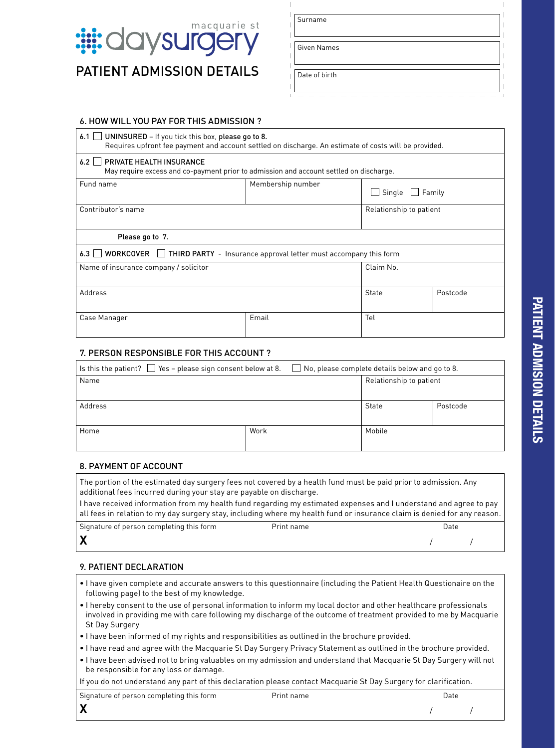

PATIFNT ADMISSION DETAILS

| Surname            |  |  |  |
|--------------------|--|--|--|
| <b>Given Names</b> |  |  |  |
| Date of birth      |  |  |  |

#### 6. HOW WILL YOU PAY FOR THIS ADMISSION ?

| UNINSURED - If you tick this box, please go to 8.<br>6.1<br>Requires upfront fee payment and account settled on discharge. An estimate of costs will be provided. |                         |                         |          |  |  |  |  |
|-------------------------------------------------------------------------------------------------------------------------------------------------------------------|-------------------------|-------------------------|----------|--|--|--|--|
| 6.2<br>PRIVATE HEALTH INSURANCE<br>May require excess and co-payment prior to admission and account settled on discharge.                                         |                         |                         |          |  |  |  |  |
| Membership number<br>Fund name                                                                                                                                    |                         | Single<br>$\Box$ Family |          |  |  |  |  |
| Contributor's name                                                                                                                                                | Relationship to patient |                         |          |  |  |  |  |
| Please go to 7.                                                                                                                                                   |                         |                         |          |  |  |  |  |
| WORKCOVER   THIRD PARTY - Insurance approval letter must accompany this form<br>6.3                                                                               |                         |                         |          |  |  |  |  |
| Name of insurance company / solicitor                                                                                                                             |                         | Claim No.               |          |  |  |  |  |
| Address                                                                                                                                                           |                         | <b>State</b>            | Postcode |  |  |  |  |
| Email<br>Case Manager                                                                                                                                             |                         | Tel                     |          |  |  |  |  |

#### 7. PERSON RESPONSIBLE FOR THIS ACCOUNT ?

| Is this the patient? $\Box$ Yes – please sign consent below at 8. |      | $\Box$ No, please complete details below and go to 8. |                         |          |  |
|-------------------------------------------------------------------|------|-------------------------------------------------------|-------------------------|----------|--|
| Name                                                              |      |                                                       | Relationship to patient |          |  |
|                                                                   |      |                                                       |                         |          |  |
| Address                                                           |      |                                                       | State                   | Postcode |  |
|                                                                   |      |                                                       |                         |          |  |
| Home                                                              | Work |                                                       | Mobile                  |          |  |
|                                                                   |      |                                                       |                         |          |  |

#### 8. PAYMENT OF ACCOUNT

The portion of the estimated day surgery fees not covered by a health fund must be paid prior to admission. Any additional fees incurred during your stay are payable on discharge.

I have received information from my health fund regarding my estimated expenses and I understand and agree to pay all fees in relation to my day surgery stay, including where my health fund or insurance claim is denied for any reason.

| Signature of person completing this form | Print name | Date |  |
|------------------------------------------|------------|------|--|
|                                          |            |      |  |

#### 9. PATIENT DECLARATION

- I have given complete and accurate answers to this questionnaire (including the Patient Health Questionaire on the following page) to the best of my knowledge.
- I hereby consent to the use of personal information to inform my local doctor and other healthcare professionals involved in providing me with care following my discharge of the outcome of treatment provided to me by Macquarie St Day Surgery
- I have been informed of my rights and responsibilities as outlined in the brochure provided.
- I have read and agree with the Macquarie St Day Surgery Privacy Statement as outlined in the brochure provided.
- I have been advised not to bring valuables on my admission and understand that Macquarie St Day Surgery will not be responsible for any loss or damage.

If you do not understand any part of this declaration please contact Macquarie St Day Surgery for clarification.

| Signature of person completing this form | Print name | Date |  |
|------------------------------------------|------------|------|--|
| v<br>⋀                                   |            |      |  |